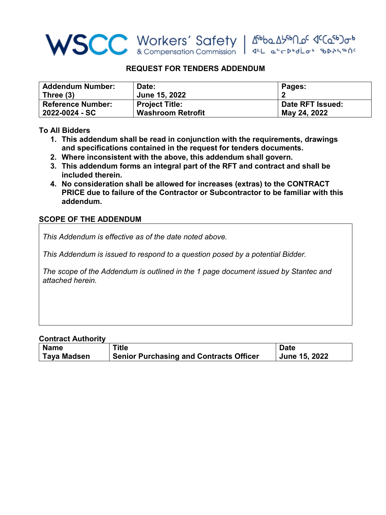

## **REQUEST FOR TENDERS ADDENDUM**

| <b>Addendum Number:</b>  | Date:                    | Pages:           |
|--------------------------|--------------------------|------------------|
| Three (3)                | June 15, 2022            |                  |
| <b>Reference Number:</b> | <b>Project Title:</b>    | Date RFT Issued: |
| 2022-0024 - SC           | <b>Washroom Retrofit</b> | May 24, 2022     |

## **To All Bidders**

- **1. This addendum shall be read in conjunction with the requirements, drawings and specifications contained in the request for tenders documents.**
- **2. Where inconsistent with the above, this addendum shall govern.**
- **3. This addendum forms an integral part of the RFT and contract and shall be included therein.**
- **4. No consideration shall be allowed for increases (extras) to the CONTRACT PRICE due to failure of the Contractor or Subcontractor to be familiar with this addendum.**

## **SCOPE OF THE ADDENDUM**

*This Addendum is effective as of the date noted above.* 

*This Addendum is issued to respond to a question posed by a potential Bidder.*

*The scope of the Addendum is outlined in the 1 page document issued by Stantec and attached herein.* 

## **Contract Authority**

| <b>Name</b> | Title                                          | <b>Date</b>   |
|-------------|------------------------------------------------|---------------|
| Taya Madsen | <b>Senior Purchasing and Contracts Officer</b> | June 15, 2022 |